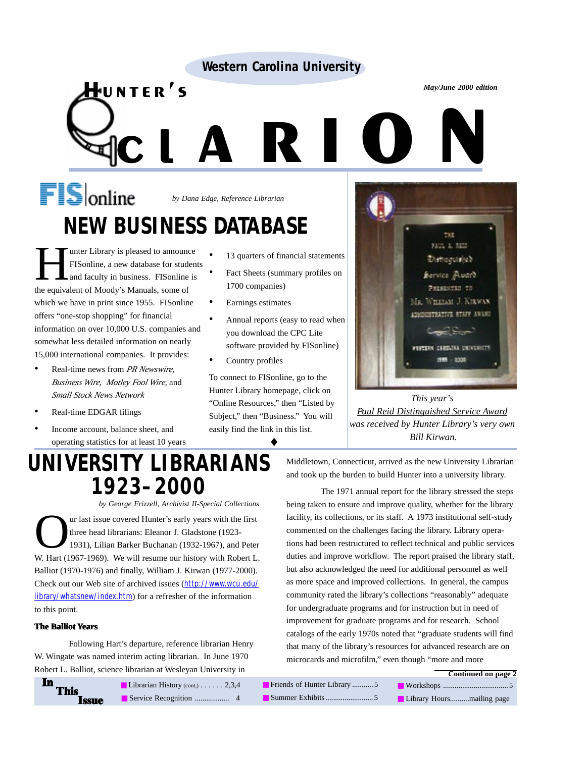#### **Western Carolina University**

# WESTEIN CATOMINA ONIVERSITY<br>
NTER'S<br>
CLARICUM *by Dana Edge, Reference Librarian* **NEW BUSINESS DATABASE**

Hunter's

Tunter Library is pleased to announce<br>FISonline, a new database for studer<br>and faculty in business. FISonline is<br>the coultral of Moody's Manuals, some of FISonline, a new database for students and faculty in business. FISonline is the equivalent of Moody's Manuals, some of which we have in print since 1955. FISonline offers "one-stop shopping" for financial information on over 10,000 U.S. companies and somewhat less detailed information on nearly 15,000 international companies. It provides:

- Real-time news from *PR Newswire, Business Wire, Motley Fool Wire,* and *Small Stock News Network*
- Real-time EDGAR filings
- Income account, balance sheet, and operating statistics for at least 10 years

#### • 13 quarters of financial statements

- Fact Sheets (summary profiles on 1700 companies)
- Earnings estimates
- Annual reports (easy to read when you download the CPC Lite software provided by FISonline)
- Country profiles

To connect to FISonline, go to the Hunter Library homepage, click on "Online Resources," then "Listed by Subject," then "Business." You will easily find the link in this list.

♦



*This year's Paul Reid Distinguished Service Award was received by Hunter Library's very own Bill Kirwan.*

# **UNIVERSITY LIBRARIANS 1923–2000**

*by George Frizzell, Archivist II-Special Collections* The last issue covered Hunter's early years with the first<br>three head librarians: Eleanor J. Gladstone (1923-<br>1931), Lilian Barker Buchanan (1932-1967), and Pete three head librarians: Eleanor J. Gladstone (1923- 1931), Lilian Barker Buchanan (1932-1967), and Peter W. Hart (1967-1969). We will resume our history with Robert L. Balliot (1970-1976) and finally, William J. Kirwan (1977-2000). Check out our Web site of archived issues (http://www.wcu.edu/ library/whatsnew/index.htm) for a refresher of the information to this point.

#### **The Balliot Years**

Following Hart's departure, reference librarian Henry W. Wingate was named interim acting librarian. In June 1970 Robert L. Balliot, science librarian at Wesleyan University in

Middletown, Connecticut, arrived as the new University Librarian and took up the burden to build Hunter into a university library.

The 1971 annual report for the library stressed the steps being taken to ensure and improve quality, whether for the library facility, its collections, or its staff. A 1973 institutional self-study commented on the challenges facing the library. Library operations had been restructured to reflect technical and public services duties and improve workflow. The report praised the library staff, but also acknowledged the need for additional personnel as well as more space and improved collections. In general, the campus community rated the library's collections "reasonably" adequate for undergraduate programs and for instruction but in need of improvement for graduate programs and for research. School catalogs of the early 1970s noted that "graduate students will find that many of the library's resources for advanced research are on microcards and microfilm," even though "more and more

| In | This<br><b>Issue</b> |
|----|----------------------|
|    |                      |

| <b>Librarian History</b> (cont.) $\ldots$ 2,3,4 |                |
|-------------------------------------------------|----------------|
|                                                 | $\overline{4}$ |

■ Friends of Hunter Library ............ 5 ■ Summer Exhibits .........................5 **Continued on page 2** ■ Workshops ..................................5 ■ Library Hours..........mailing page

*May/June 2000 edition*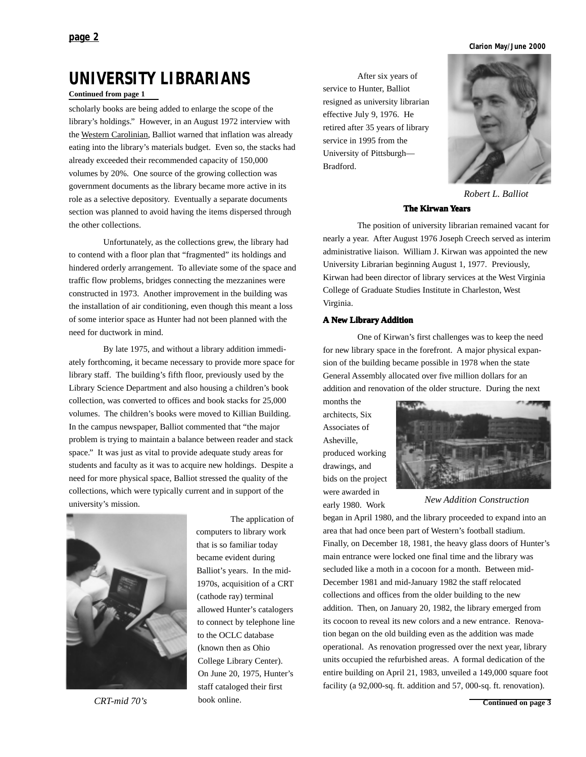**Clarion May/June 2000**

## **UNIVERSITY LIBRARIANS** After six years of

#### **Continued from page 1**

scholarly books are being added to enlarge the scope of the library's holdings." However, in an August 1972 interview with the Western Carolinian, Balliot warned that inflation was already eating into the library's materials budget. Even so, the stacks had already exceeded their recommended capacity of 150,000 volumes by 20%. One source of the growing collection was government documents as the library became more active in its role as a selective depository. Eventually a separate documents section was planned to avoid having the items dispersed through the other collections.

Unfortunately, as the collections grew, the library had to contend with a floor plan that "fragmented" its holdings and hindered orderly arrangement. To alleviate some of the space and traffic flow problems, bridges connecting the mezzanines were constructed in 1973. Another improvement in the building was the installation of air conditioning, even though this meant a loss of some interior space as Hunter had not been planned with the need for ductwork in mind.

By late 1975, and without a library addition immediately forthcoming, it became necessary to provide more space for library staff. The building's fifth floor, previously used by the Library Science Department and also housing a children's book collection, was converted to offices and book stacks for 25,000 volumes. The children's books were moved to Killian Building. In the campus newspaper, Balliot commented that "the major problem is trying to maintain a balance between reader and stack space." It was just as vital to provide adequate study areas for students and faculty as it was to acquire new holdings. Despite a need for more physical space, Balliot stressed the quality of the collections, which were typically current and in support of the university's mission.



*CRT-mid 70's*

The application of computers to library work that is so familiar today became evident during Balliot's years. In the mid-1970s, acquisition of a CRT (cathode ray) terminal allowed Hunter's catalogers to connect by telephone line to the OCLC database (known then as Ohio College Library Center). On June 20, 1975, Hunter's staff cataloged their first book online.

service to Hunter, Balliot resigned as university librarian effective July 9, 1976. He retired after 35 years of library service in 1995 from the University of Pittsburgh— Bradford.



*Robert L. Balliot*

#### **The Kirwan Years**

The position of university librarian remained vacant for nearly a year. After August 1976 Joseph Creech served as interim administrative liaison. William J. Kirwan was appointed the new University Librarian beginning August 1, 1977. Previously, Kirwan had been director of library services at the West Virginia College of Graduate Studies Institute in Charleston, West Virginia.

#### **A New Library Addition**

One of Kirwan's first challenges was to keep the need for new library space in the forefront. A major physical expansion of the building became possible in 1978 when the state General Assembly allocated over five million dollars for an addition and renovation of the older structure. During the next

months the architects, Six Associates of Asheville, produced working drawings, and bids on the project were awarded in early 1980. Work



*New Addition Construction*

began in April 1980, and the library proceeded to expand into an area that had once been part of Western's football stadium. Finally, on December 18, 1981, the heavy glass doors of Hunter's main entrance were locked one final time and the library was secluded like a moth in a cocoon for a month. Between mid-December 1981 and mid-January 1982 the staff relocated collections and offices from the older building to the new addition. Then, on January 20, 1982, the library emerged from its cocoon to reveal its new colors and a new entrance. Renovation began on the old building even as the addition was made operational. As renovation progressed over the next year, library units occupied the refurbished areas. A formal dedication of the entire building on April 21, 1983, unveiled a 149,000 square foot facility (a 92,000-sq. ft. addition and 57, 000-sq. ft. renovation).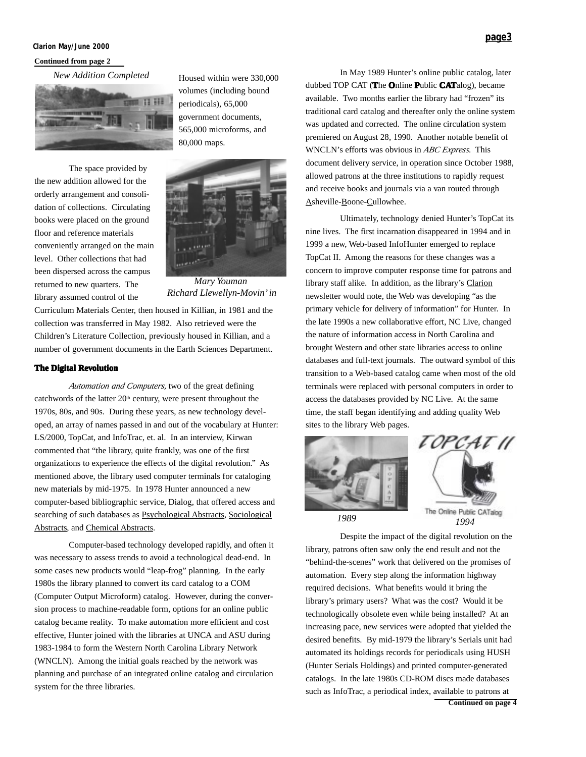#### **Clarion May/June 2000**

#### **Continued from page 2**

*New Addition Completed*



The space provided by the new addition allowed for the orderly arrangement and consolidation of collections. Circulating books were placed on the ground floor and reference materials conveniently arranged on the main level. Other collections that had been dispersed across the campus returned to new quarters. The library assumed control of the

565,000 microforms, and 80,000 maps.

Housed within were 330,000 volumes (including bound periodicals), 65,000 government documents,



*Mary Youman Richard Llewellyn-Movin' in*

Curriculum Materials Center, then housed in Killian, in 1981 and the collection was transferred in May 1982. Also retrieved were the Children's Literature Collection, previously housed in Killian, and a number of government documents in the Earth Sciences Department.

#### **The Digital Revolution**

*Automation and Computers,* two of the great defining catchwords of the latter  $20<sup>th</sup>$  century, were present throughout the 1970s, 80s, and 90s. During these years, as new technology developed, an array of names passed in and out of the vocabulary at Hunter: LS/2000, TopCat, and InfoTrac, et. al. In an interview, Kirwan commented that "the library, quite frankly, was one of the first organizations to experience the effects of the digital revolution." As mentioned above, the library used computer terminals for cataloging new materials by mid-1975. In 1978 Hunter announced a new computer-based bibliographic service, Dialog, that offered access and searching of such databases as Psychological Abstracts, Sociological Abstracts, and Chemical Abstracts.

Computer-based technology developed rapidly, and often it was necessary to assess trends to avoid a technological dead-end. In some cases new products would "leap-frog" planning. In the early 1980s the library planned to convert its card catalog to a COM (Computer Output Microform) catalog. However, during the conversion process to machine-readable form, options for an online public catalog became reality. To make automation more efficient and cost effective, Hunter joined with the libraries at UNCA and ASU during 1983-1984 to form the Western North Carolina Library Network (WNCLN). Among the initial goals reached by the network was planning and purchase of an integrated online catalog and circulation system for the three libraries.

In May 1989 Hunter's online public catalog, later dubbed TOP CAT (**T**he **O**nline **P**ublic **CAT**alog), became available. Two months earlier the library had "frozen" its traditional card catalog and thereafter only the online system was updated and corrected. The online circulation system premiered on August 28, 1990. Another notable benefit of WNCLN's efforts was obvious in *ABC Express*. This document delivery service, in operation since October 1988, allowed patrons at the three institutions to rapidly request and receive books and journals via a van routed through Asheville-Boone-Cullowhee.

Ultimately, technology denied Hunter's TopCat its nine lives. The first incarnation disappeared in 1994 and in 1999 a new, Web-based InfoHunter emerged to replace TopCat II. Among the reasons for these changes was a concern to improve computer response time for patrons and library staff alike. In addition, as the library's Clarion newsletter would note, the Web was developing "as the primary vehicle for delivery of information" for Hunter. In the late 1990s a new collaborative effort, NC Live, changed the nature of information access in North Carolina and brought Western and other state libraries access to online databases and full-text journals. The outward symbol of this transition to a Web-based catalog came when most of the old terminals were replaced with personal computers in order to access the databases provided by NC Live. At the same time, the staff began identifying and adding quality Web sites to the library Web pages.





**Continued on page 4** Despite the impact of the digital revolution on the library, patrons often saw only the end result and not the "behind-the-scenes" work that delivered on the promises of automation. Every step along the information highway required decisions. What benefits would it bring the library's primary users? What was the cost? Would it be technologically obsolete even while being installed? At an increasing pace, new services were adopted that yielded the desired benefits. By mid-1979 the library's Serials unit had automated its holdings records for periodicals using HUSH (Hunter Serials Holdings) and printed computer-generated catalogs. In the late 1980s CD-ROM discs made databases such as InfoTrac, a periodical index, available to patrons at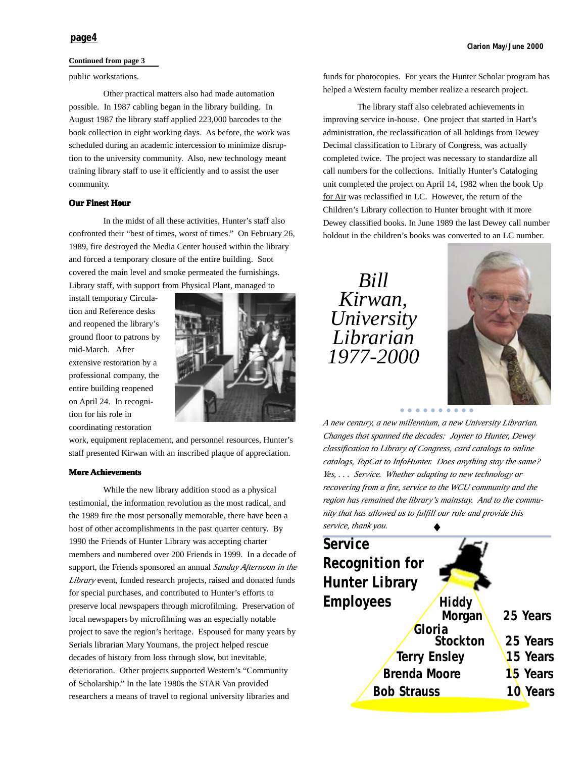#### **Continued from page 3**

#### public workstations.

Other practical matters also had made automation possible. In 1987 cabling began in the library building. In August 1987 the library staff applied 223,000 barcodes to the book collection in eight working days. As before, the work was scheduled during an academic intercession to minimize disruption to the university community. Also, new technology meant training library staff to use it efficiently and to assist the user community.

#### **Our Finest Hour**

In the midst of all these activities, Hunter's staff also confronted their "best of times, worst of times." On February 26, 1989, fire destroyed the Media Center housed within the library and forced a temporary closure of the entire building. Soot covered the main level and smoke permeated the furnishings. Library staff, with support from Physical Plant, managed to

install temporary Circulation and Reference desks and reopened the library's ground floor to patrons by mid-March. After extensive restoration by a professional company, the entire building reopened on April 24. In recognition for his role in coordinating restoration



work, equipment replacement, and personnel resources, Hunter's staff presented Kirwan with an inscribed plaque of appreciation.

#### **More Achievements**

While the new library addition stood as a physical testimonial, the information revolution as the most radical, and the 1989 fire the most personally memorable, there have been a host of other accomplishments in the past quarter century. By 1990 the Friends of Hunter Library was accepting charter members and numbered over 200 Friends in 1999. In a decade of support, the Friends sponsored an annual *Sunday Afternoon in the Library* event, funded research projects, raised and donated funds for special purchases, and contributed to Hunter's efforts to preserve local newspapers through microfilming. Preservation of local newspapers by microfilming was an especially notable project to save the region's heritage. Espoused for many years by Serials librarian Mary Youmans, the project helped rescue decades of history from loss through slow, but inevitable, deterioration. Other projects supported Western's "Community of Scholarship." In the late 1980s the STAR Van provided researchers a means of travel to regional university libraries and

funds for photocopies. For years the Hunter Scholar program has helped a Western faculty member realize a research project.

The library staff also celebrated achievements in improving service in-house. One project that started in Hart's administration, the reclassification of all holdings from Dewey Decimal classification to Library of Congress, was actually completed twice. The project was necessary to standardize all call numbers for the collections. Initially Hunter's Cataloging unit completed the project on April 14, 1982 when the book Up for Air was reclassified in LC. However, the return of the Children's Library collection to Hunter brought with it more Dewey classified books. In June 1989 the last Dewey call number holdout in the children's books was converted to an LC number.

*Bill Kirwan, University Librarian 1977-2000*



aaaaaaaaaa

*A new century, a new millennium, a new University Librarian. Changes that spanned the decades: Joyner to Hunter, Dewey classification to Library of Congress, card catalogs to online catalogs, TopCat to InfoHunter. Does anything stay the same? Yes, . . . Service. Whether adapting to new technology or recovering from a fire, service to the WCU community and the region has remained the library's mainstay. And to the community that has allowed us to fulfill our role and provide this service, thank you.*

| service, thank you.    |                     |          |
|------------------------|---------------------|----------|
| <b>Service</b>         |                     |          |
| <b>Recognition for</b> |                     |          |
| <b>Hunter Library</b>  |                     |          |
| <b>Employees</b>       | Hiddy               |          |
|                        | Morgan              | 25 Years |
|                        | Gloria              |          |
|                        | <b>Stockton</b>     | 25 Years |
|                        | <b>Terry Ensley</b> | 15 Years |
| <b>Brenda Moore</b>    |                     | 15 Years |
| <b>Bob Strauss</b>     |                     | 10 Years |
|                        |                     |          |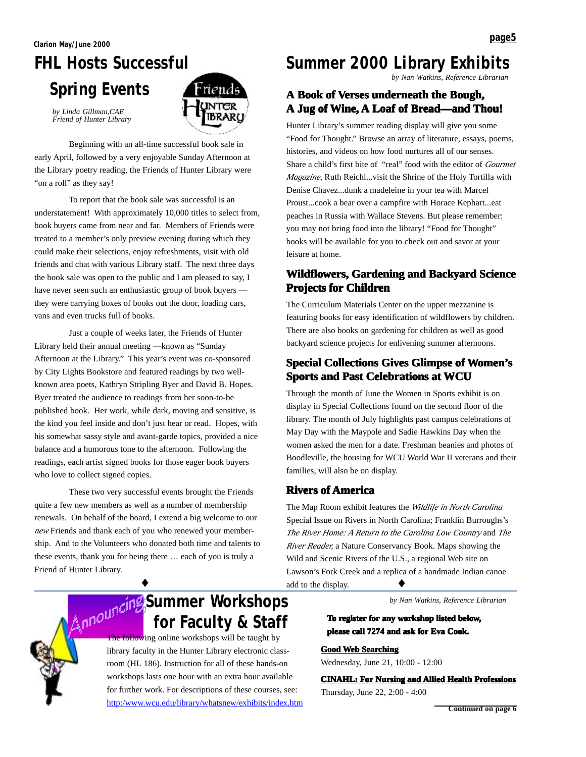# **FHL Hosts Successful Spring Events**



*by Linda Gillman,CAE Friend of Hunter Library*

Beginning with an all-time successful book sale in early April, followed by a very enjoyable Sunday Afternoon at the Library poetry reading, the Friends of Hunter Library were "on a roll" as they say!

To report that the book sale was successful is an understatement! With approximately 10,000 titles to select from, book buyers came from near and far. Members of Friends were treated to a member's only preview evening during which they could make their selections, enjoy refreshments, visit with old friends and chat with various Library staff. The next three days the book sale was open to the public and I am pleased to say, I have never seen such an enthusiastic group of book buyers they were carrying boxes of books out the door, loading cars, vans and even trucks full of books.

Just a couple of weeks later, the Friends of Hunter Library held their annual meeting —known as "Sunday Afternoon at the Library." This year's event was co-sponsored by City Lights Bookstore and featured readings by two wellknown area poets, Kathryn Stripling Byer and David B. Hopes. Byer treated the audience to readings from her soon-to-be published book. Her work, while dark, moving and sensitive, is the kind you feel inside and don't just hear or read. Hopes, with his somewhat sassy style and avant-garde topics, provided a nice balance and a humorous tone to the afternoon. Following the readings, each artist signed books for those eager book buyers who love to collect signed copies.

These two very successful events brought the Friends quite a few new members as well as a number of membership renewals. On behalf of the board, I extend a big welcome to our *new* Friends and thank each of you who renewed your membership. And to the Volunteers who donated both time and talents to these events, thank you for being there … each of you is truly a Friend of Hunter Library.

♦

### **Summer 2000 Library Exhibits**

*by Nan Watkins, Reference Librarian*

#### **A Book of Book of Verses underneath the Bough, th Bough,** A Jug of Wine, A Loaf of Bread—and Thou!

Hunter Library's summer reading display will give you some "Food for Thought." Browse an array of literature, essays, poems, histories, and videos on how food nurtures all of our senses. Share a child's first bite of "real" food with the editor of *Gourmet Magazine*, Ruth Reichl...visit the Shrine of the Holy Tortilla with Denise Chavez...dunk a madeleine in your tea with Marcel Proust...cook a bear over a campfire with Horace Kephart...eat peaches in Russia with Wallace Stevens. But please remember: you may not bring food into the library! "Food for Thought" books will be available for you to check out and savor at your leisure at home.

#### **Wildflowers, Gardening and Backyard Science Projects for Children**

The Curriculum Materials Center on the upper mezzanine is featuring books for easy identification of wildflowers by children. There are also books on gardening for children as well as good backyard science projects for enlivening summer afternoons.

#### **Special Collections Gives Glimpse of Women's Sports and Past Celebrations at WCU**

Through the month of June the Women in Sports exhibit is on display in Special Collections found on the second floor of the library. The month of July highlights past campus celebrations of May Day with the Maypole and Sadie Hawkins Day when the women asked the men for a date. Freshman beanies and photos of Boodleville, the housing for WCU World War II veterans and their families, will also be on display.

#### **Rivers of America**

The Map Room exhibit features the *Wildlife in North Carolina* Special Issue on Rivers in North Carolina; Franklin Burroughs's *The River Home: A Return to the Carolina Low Country* and *The River Reader,* a Nature Conservancy Book. Maps showing the Wild and Scenic Rivers of the U.S., a regional Web site on Lawson's Fork Creek and a replica of a handmade Indian canoe add to the display. ♦

*by Nan Watkins, Reference Librarian*

**To register for any workshop listed below, please call 7274 and ask for Eva Cook.** 

**Good Web Searching** Wednesday, June 21, 10:00 - 12:00

**CINAHL: For Nursing and Allied Health Professions** Thursday, June 22, 2:00 - 4:00

## **Summer Workshops for Faculty & Staff**

The following online workshops will be taught by library faculty in the Hunter Library electronic classroom (HL 186). Instruction for all of these hands-on workshops lasts one hour with an extra hour available for further work. For descriptions of these courses, see: http:/www.wcu.edu/library/whatsnew/exhibits/index.htm

**Continued on page 6**